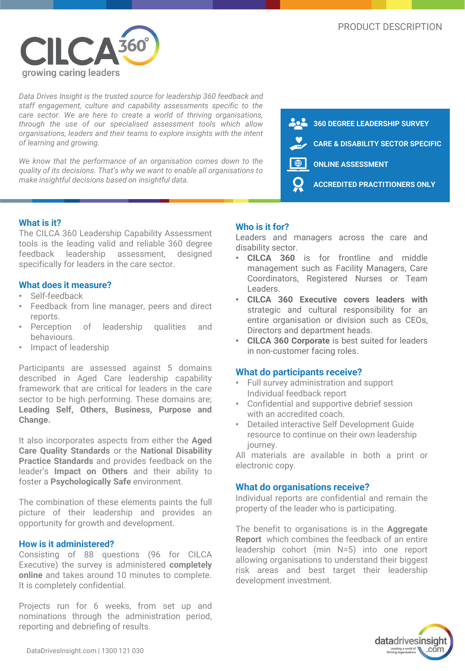

*Data Drives Insight is the trusted source for leadership 360 feedback and staff engagement, culture and capability assessments specific to the care sector. We are here to create a world of thriving organisations, through the use of our specialised assessment tools which allow organisations, leaders and their teams to explore insights with the intent of learning and growing.*

*We know that the performance of an organisation comes down to the quality of its decisions. That's why we want to enable all organisations to make insightful decisions based on insightful data.*



### **What is it?**

The CILCA 360 Leadership Capability Assessment tools is the leading valid and reliable 360 degree feedback leadership assessment, designed specifically for leaders in the care sector.

### **What does it measure?**

- Self-feedback
- Feedback from line manager, peers and direct reports.
- Perception of leadership qualities and behaviours.
- Impact of leadership

Participants are assessed against 5 domains described in Aged Care leadership capability framework that are critical for leaders in the care sector to be high performing. These domains are; **Leading Self, Others, Business, Purpose and Change.**

It also incorporates aspects from either the **Aged Care Quality Standards** or the **National Disability Practice Standards** and provides feedback on the leader's **Impact on Others** and their ability to foster a **Psychologically Safe** environment.

The combination of these elements paints the full picture of their leadership and provides an opportunity for growth and development.

### **How is it administered?**

Consisting of 88 questions (96 for CILCA Executive) the survey is administered **completely online** and takes around 10 minutes to complete. It is completely confidential.

Projects run for 6 weeks, from set up and nominations through the administration period, reporting and debriefing of results.

## **Who is it for?**

Leaders and managers across the care and disability sector.

- **CILCA 360** is for frontline and middle management such as Facility Managers, Care Coordinators, Registered Nurses or Team Leaders.
- **CILCA 360 Executive covers leaders with** strategic and cultural responsibility for an entire organisation or division such as CEOs, Directors and department heads.
- **CILCA 360 Corporate** is best suited for leaders in non-customer facing roles.

### **What do participants receive?**

- Full survey administration and support Individual feedback report
- Confidential and supportive debrief session with an accredited coach
- Detailed interactive Self Development Guide resource to continue on their own leadership journey.

All materials are available in both a print or electronic copy.

### **What do organisations receive?**

Individual reports are confidential and remain the property of the leader who is participating.

The benefit to organisations is in the **Aggregate Report** which combines the feedback of an entire leadership cohort (min N=5) into one report allowing organisations to understand their biggest risk areas and best target their leadership development investment.